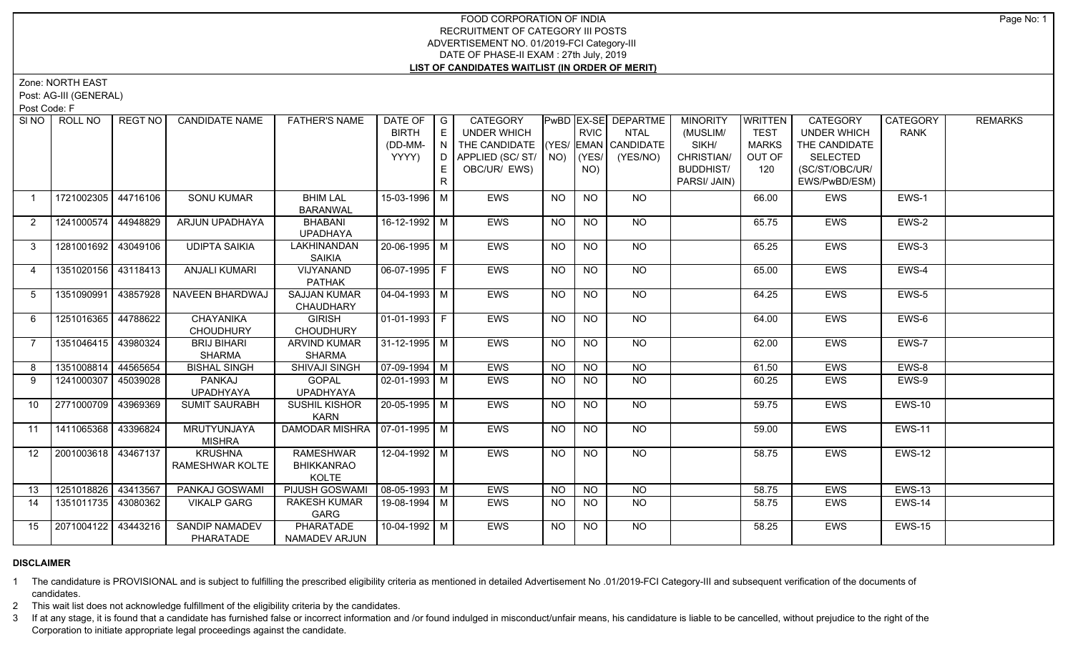## FOOD CORPORATION OF INDIA RECRUITMENT OF CATEGORY III POSTS ADVERTISEMENT NO. 01/2019-FCI Category-III DATE OF PHASE-II EXAM : 27th July, 2019 **LIST OF CANDIDATES WAITLIST (IN ORDER OF MERIT)**

Zone: NORTH EAST

Post: AG-III (GENERAL)

Post Code: F

| SI <sub>NO</sub> | ROLL NO               | REGT NO  | <b>CANDIDATE NAME</b>              | <b>FATHER'S NAME</b>                           | DATE OF   G<br><b>BIRTH</b><br>(DD-MM-<br>YYYY) | E<br>$\mathbb{C} \mathbb{N}$ ). | <b>CATEGORY</b><br>UNDER WHICH<br>THE CANDIDATE (YES/ EMAN CANDIDATE<br>D APPLIED (SC/ ST/   NO) |                | <b>RVIC</b><br> YES | PwBD   EX-SE   DEPARTME<br>NTAL<br>(YES/NO) | <b>MINORITY</b><br>(MUSLIM/<br>SIKH/<br>CHRISTIAN/ | <b>WRITTEN</b><br><b>TEST</b><br><b>MARKS</b><br>OUT OF | <b>CATEGORY</b><br><b>UNDER WHICH</b><br>THE CANDIDATE<br>SELECTED | CATEGORY<br><b>RANK</b> | <b>REMARKS</b> |
|------------------|-----------------------|----------|------------------------------------|------------------------------------------------|-------------------------------------------------|---------------------------------|--------------------------------------------------------------------------------------------------|----------------|---------------------|---------------------------------------------|----------------------------------------------------|---------------------------------------------------------|--------------------------------------------------------------------|-------------------------|----------------|
|                  |                       |          |                                    |                                                |                                                 | R                               | OBC/UR/ EWS)                                                                                     |                | NO)                 |                                             | <b>BUDDHIST/</b><br>PARSI/ JAIN)                   | 120                                                     | (SC/ST/OBC/UR/<br>EWS/PwBD/ESM)                                    |                         |                |
| $\overline{1}$   | 1721002305            | 44716106 | <b>SONU KUMAR</b>                  | <b>BHIM LAL</b><br><b>BARANWAL</b>             | 15-03-1996 M                                    |                                 | <b>EWS</b>                                                                                       | <b>NO</b>      | <b>NO</b>           | <b>NO</b>                                   |                                                    | 66.00                                                   | EWS                                                                | EWS-1                   |                |
| 2                | 1241000574 44948829   |          | ARJUN UPADHAYA                     | BHABANI<br><b>UPADHAYA</b>                     | 16-12-1992 M                                    |                                 | EWS                                                                                              | <b>NO</b>      | <b>NO</b>           | NO                                          |                                                    | 65.75                                                   | EWS                                                                | EWS-2                   |                |
| $\mathbf{3}$     | 1281001692 43049106   |          | <b>UDIPTA SAIKIA</b>               | LAKHINANDAN<br><b>SAIKIA</b>                   | 20-06-1995 M                                    |                                 | <b>EWS</b>                                                                                       | <b>NO</b>      | <b>NO</b>           | $\overline{NO}$                             |                                                    | 65.25                                                   | <b>EWS</b>                                                         | EWS-3                   |                |
| $\overline{4}$   | 1351020156 43118413   |          | <b>ANJALI KUMARI</b>               | <b>VIJYANAND</b><br><b>PATHAK</b>              | $\boxed{06-07-1995}$ F                          |                                 | <b>EWS</b>                                                                                       | <b>NO</b>      | N <sub>O</sub>      | N <sub>O</sub>                              |                                                    | 65.00                                                   | <b>EWS</b>                                                         | $EWS-4$                 |                |
| 5                | 1351090991 43857928   |          | NAVEEN BHARDWAJ                    | <b>SAJJAN KUMAR</b><br>CHAUDHARY               | $\sqrt{04-04-1993}$ M                           |                                 | <b>EWS</b>                                                                                       | <b>NO</b>      | <b>NO</b>           | $N$ O                                       |                                                    | 64.25                                                   | EWS                                                                | EWS-5                   |                |
| 6                | 1251016365 44788622   |          | CHAYANIKA<br><b>CHOUDHURY</b>      | <b>GIRISH</b><br><b>CHOUDHURY</b>              | 01-01-1993   F                                  |                                 | <b>EWS</b>                                                                                       | <b>NO</b>      | <b>NO</b>           | NO                                          |                                                    | 64.00                                                   | <b>EWS</b>                                                         | EWS-6                   |                |
| $\overline{7}$   | 1351046415   43980324 |          | <b>BRIJ BIHARI</b><br>SHARMA       | <b>ARVIND KUMAR</b><br><b>SHARMA</b>           | 31-12-1995 M                                    |                                 | <b>EWS</b>                                                                                       | <b>NO</b>      | <b>NO</b>           | NO                                          |                                                    | 62.00                                                   | <b>EWS</b>                                                         | EWS-7                   |                |
| 8                | 1351008814 44565654   |          | <b>BISHAL SINGH</b>                | <b>SHIVAJI SINGH</b>                           | 07-09-1994   M                                  |                                 | <b>EWS</b>                                                                                       | N <sub>O</sub> | $\overline{NO}$     | $\overline{NO}$                             |                                                    | 61.50                                                   | <b>EWS</b>                                                         | EWS-8                   |                |
| 9                | 1241000307   45039028 |          | PANKAJ<br><b>UPADHYAYA</b>         | <b>GOPAL</b><br><b>UPADHYAYA</b>               | 02-01-1993   M                                  |                                 | <b>EWS</b>                                                                                       | <b>NO</b>      | <b>NO</b>           | <b>NO</b>                                   |                                                    | 60.25                                                   | EWS                                                                | EWS-9                   |                |
| 10               | 2771000709 43969369   |          | <b>SUMIT SAURABH</b>               | SUSHIL KISHOR<br><b>KARN</b>                   | $20 - 05 - 1995$ M                              |                                 | <b>EWS</b>                                                                                       | <b>NO</b>      | <b>NO</b>           | $N$ <sup>O</sup>                            |                                                    | 59.75                                                   | EWS                                                                | <b>EWS-10</b>           |                |
| 11               | 1411065368            | 43396824 | MRUTYUNJAYA<br>MISHRA              | DAMODAR MISHRA   07-01-1995   M                |                                                 |                                 | <b>EWS</b>                                                                                       | <b>NO</b>      | <b>NO</b>           | NO                                          |                                                    | 59.00                                                   | EWS                                                                | <b>EWS-11</b>           |                |
| 12               | 2001003618 43467137   |          | <b>KRUSHNA</b><br>RAMESHWAR KOLTE  | <b>RAMESHWAR</b><br><b>BHIKKANRAO</b><br>KOLTE | 12-04-1992 M                                    |                                 | <b>EWS</b>                                                                                       | NO             | NO                  | $N$ O                                       |                                                    | 58.75                                                   | <b>EWS</b>                                                         | <b>EWS-12</b>           |                |
| 13               | 1251018826 43413567   |          | PANKAJ GOSWAMI                     | PIJUSH GOSWAMI                                 | $\sqrt{08-05-1993}$ M                           |                                 | EWS                                                                                              | <b>NO</b>      | <b>NO</b>           | <b>NO</b>                                   |                                                    | 58.75                                                   | EWS                                                                | <b>EWS-13</b>           |                |
| 14               | 1351011735 43080362   |          | <b>VIKALP GARG</b>                 | <b>RAKESH KUMAR</b><br>GARG                    | 19-08-1994 M                                    |                                 | <b>EWS</b>                                                                                       | <b>NO</b>      | $N$ O               | NO                                          |                                                    | 58.75                                                   | EWS                                                                | EWS-14                  |                |
| 15               | 2071004122 43443216   |          | <b>SANDIP NAMADEV</b><br>PHARATADE | PHARATADE<br>NAMADEV ARJUN                     | $10-04-1992$ M                                  |                                 | EWS                                                                                              | <b>NO</b>      | NO.                 | NO.                                         |                                                    | 58.25                                                   | <b>EWS</b>                                                         | <b>EWS-15</b>           |                |

## **DISCLAIMER**

1 The candidature is PROVISIONAL and is subject to fulfilling the prescribed eligibility criteria as mentioned in detailed Advertisement No .01/2019-FCI Category-III and subsequent verification of the documents of candidates.

2 This wait list does not acknowledge fulfillment of the eligibility criteria by the candidates.

3 If at any stage, it is found that a candidate has furnished false or incorrect information and /or found indulged in misconduct/unfair means, his candidature is liable to be cancelled, without prejudice to the right of t Corporation to initiate appropriate legal proceedings against the candidate.

Page No: 1